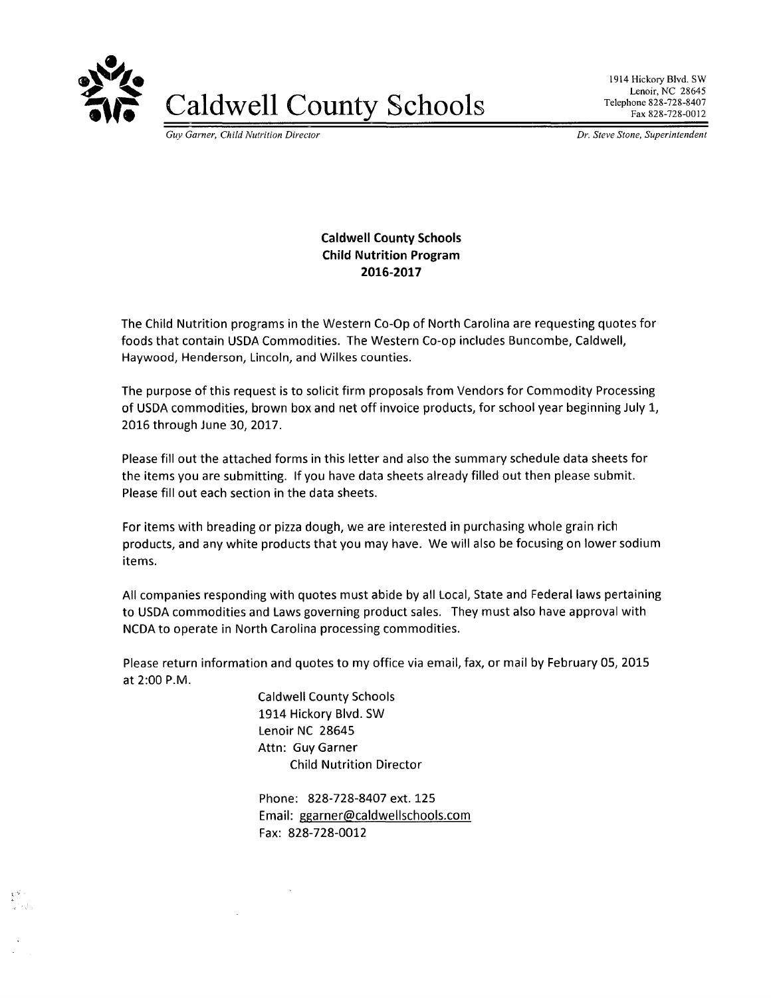

**Caldwell County Schools** 

1914 Hickory Blvd. SW Lenoir, NC 28645 Telephone 828-728-8407 Fax 828-728-0012

Guy Garner, Child Nutrition Director

Dr. Steve Stone, Superintendent

## **Caldwell County Schools Child Nutrition Program** 2016-2017

The Child Nutrition programs in the Western Co-Op of North Carolina are requesting quotes for foods that contain USDA Commodities. The Western Co-op includes Buncombe, Caldwell, Haywood, Henderson, Lincoln, and Wilkes counties.

The purpose of this request is to solicit firm proposals from Vendors for Commodity Processing of USDA commodities, brown box and net off invoice products, for school year beginning July 1, 2016 through June 30, 2017.

Please fill out the attached forms in this letter and also the summary schedule data sheets for the items you are submitting. If you have data sheets already filled out then please submit. Please fill out each section in the data sheets.

For items with breading or pizza dough, we are interested in purchasing whole grain rich products, and any white products that you may have. We will also be focusing on lower sodium items.

All companies responding with quotes must abide by all Local, State and Federal laws pertaining to USDA commodities and Laws governing product sales. They must also have approval with NCDA to operate in North Carolina processing commodities.

Please return information and quotes to my office via email, fax, or mail by February 05, 2015 at 2:00 P.M.

> **Caldwell County Schools** 1914 Hickory Blvd. SW Lenoir NC 28645 Attn: Guy Garner **Child Nutrition Director**

> > $\sim$

Phone: 828-728-8407 ext. 125 Email: ggarner@caldwellschools.com Fax: 828-728-0012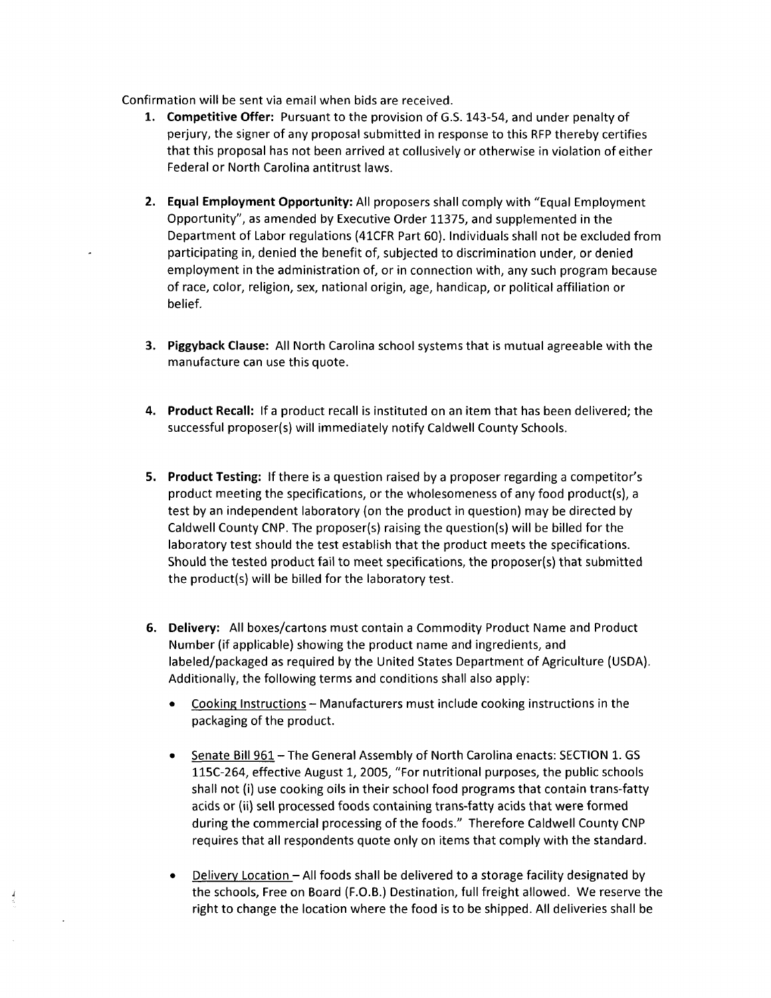Confirmation will be sent via email when bids are received.

- 1. Competitive Offer: Pursuant to the provision of G.S. 143-54, and under penalty of perjury, the signer of any proposal submitted in response to this RFP thereby certifies that this proposal has not been arrived at collusively or otherwise in violation of either Federal or North Carolina antitrust laws.
- 2. Equal Employment Opportunity: All proposers shall comply with "Equal Employment Opportunity", as amended by Executive Order 11375, and supplemented in the Department of Labor regulations (41CFR Part 60). Individuals shall not be excluded from participating in, denied the benefit of, subjected to discrimination under, or denied employment in the administration of, or in connection with, any such program because of race, color, religion, sex, national origin, age, handicap, or political affiliation or belief.
- 3. Piggyback Clause: All North Carolina school systems that is mutual agreeable with the manufacture can use this quote.
- 4. Product Recall: If a product recall is instituted on an item that has been delivered; the successful proposer(s) will immediately notify Caldwell County Schools.
- 5. Product Testing: If there is a question raised by a proposer regarding a competitor's product meeting the specifications, or the wholesomeness of any food product(s), a test by an independent laboratory (on the product in question) may be directed by Caldwell County CNP. The proposer(s) raising the question(s) will be billed for the laboratory test should the test establish that the product meets the specifications. Should the tested product fail to meet specifications, the proposer(s) that submitted the product(s) will be billed for the laboratory test.
- 6. Delivery: All boxes/cartons must contain a Commodity Product Name and Product Number (if applicable) showing the product name and ingredients, and labeled/packaged as required by the United States Department of Agriculture (USDA). Additionally, the following terms and conditions shall also apply:
	- Cooking Instructions Manufacturers must include cooking instructions in the packaging of the product.
	- Senate Bill 961 The General Assembly of North Carolina enacts: SECTION 1. GS  $\bullet$ 115C-264, effective August 1, 2005, "For nutritional purposes, the public schools shall not (i) use cooking oils in their school food programs that contain trans-fatty acids or (ii) sell processed foods containing trans-fatty acids that were formed during the commercial processing of the foods." Therefore Caldwell County CNP requires that all respondents quote only on items that comply with the standard.
	- Delivery Location All foods shall be delivered to a storage facility designated by the schools, Free on Board (F.O.B.) Destination, full freight allowed. We reserve the right to change the location where the food is to be shipped. All deliveries shall be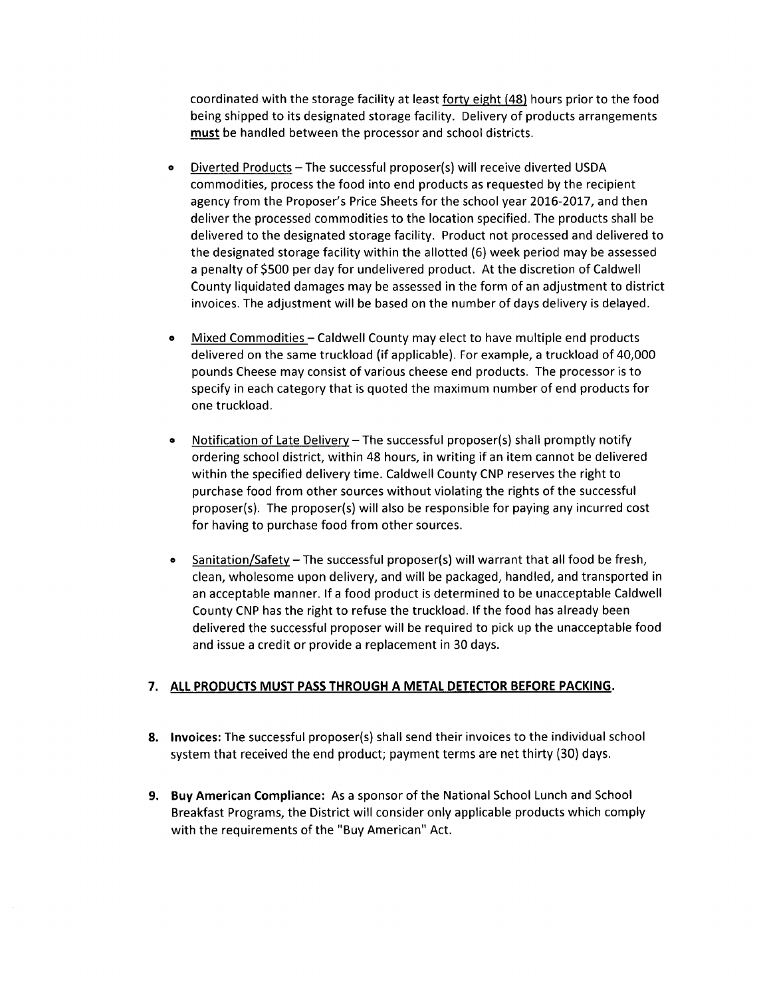coordinated with the storage facility at least forty eight (48) hours prior to the food being shipped to its designated storage facility. Delivery of products arrangements must be handled between the processor and school districts.

- Diverted Products The successful proposer(s) will receive diverted USDA  $\bullet$ commodities, process the food into end products as requested by the recipient agency from the Proposer's Price Sheets for the school year 2016-2017, and then deliver the processed commodities to the location specified. The products shall be delivered to the designated storage facility. Product not processed and delivered to the designated storage facility within the allotted (6) week period may be assessed a penalty of \$500 per day for undelivered product. At the discretion of Caldwell County liquidated damages may be assessed in the form of an adjustment to district invoices. The adjustment will be based on the number of days delivery is delayed.
- Mixed Commodities Caldwell County may elect to have multiple end products  $\bullet$ delivered on the same truckload (if applicable). For example, a truckload of 40,000 pounds Cheese may consist of various cheese end products. The processor is to specify in each category that is quoted the maximum number of end products for one truckload.
- Notification of Late Delivery The successful proposer(s) shall promptly notify  $\bullet$ ordering school district, within 48 hours, in writing if an item cannot be delivered within the specified delivery time. Caldwell County CNP reserves the right to purchase food from other sources without violating the rights of the successful proposer(s). The proposer(s) will also be responsible for paying any incurred cost for having to purchase food from other sources.
- Sanitation/Safety The successful proposer(s) will warrant that all food be fresh,  $\bullet$ clean, wholesome upon delivery, and will be packaged, handled, and transported in an acceptable manner. If a food product is determined to be unacceptable Caldwell County CNP has the right to refuse the truckload. If the food has already been delivered the successful proposer will be required to pick up the unacceptable food and issue a credit or provide a replacement in 30 days.

## 7. ALL PRODUCTS MUST PASS THROUGH A METAL DETECTOR BEFORE PACKING.

- 8. Invoices: The successful proposer(s) shall send their invoices to the individual school system that received the end product; payment terms are net thirty (30) days.
- 9. Buy American Compliance: As a sponsor of the National School Lunch and School Breakfast Programs, the District will consider only applicable products which comply with the requirements of the "Buy American" Act.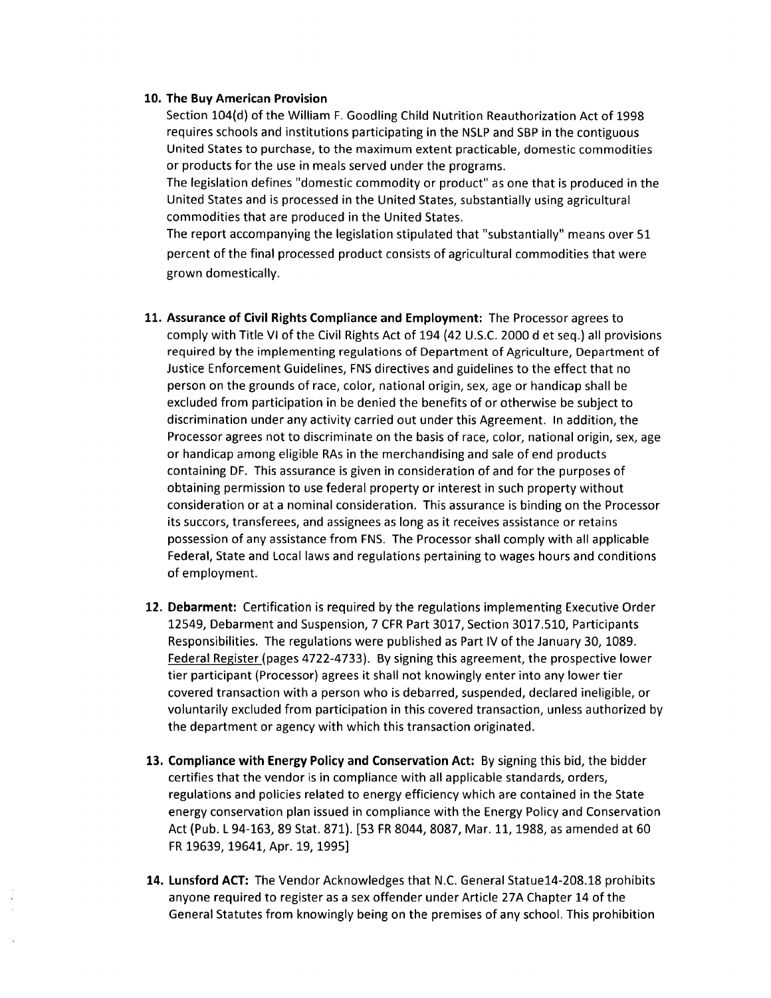### 10. The Buy American Provision

Section 104(d) of the William F. Goodling Child Nutrition Reauthorization Act of 1998 requires schools and institutions participating in the NSLP and SBP in the contiguous United States to purchase, to the maximum extent practicable, domestic commodities or products for the use in meals served under the programs.

The legislation defines "domestic commodity or product" as one that is produced in the United States and is processed in the United States, substantially using agricultural commodities that are produced in the United States.

The report accompanying the legislation stipulated that "substantially" means over 51 percent of the final processed product consists of agricultural commodities that were grown domestically.

- 11. Assurance of Civil Rights Compliance and Employment: The Processor agrees to comply with Title VI of the Civil Rights Act of 194 (42 U.S.C. 2000 d et seq.) all provisions required by the implementing regulations of Department of Agriculture, Department of Justice Enforcement Guidelines, FNS directives and guidelines to the effect that no person on the grounds of race, color, national origin, sex, age or handicap shall be excluded from participation in be denied the benefits of or otherwise be subject to discrimination under any activity carried out under this Agreement. In addition, the Processor agrees not to discriminate on the basis of race, color, national origin, sex, age or handicap among eligible RAs in the merchandising and sale of end products containing DF. This assurance is given in consideration of and for the purposes of obtaining permission to use federal property or interest in such property without consideration or at a nominal consideration. This assurance is binding on the Processor its succors, transferees, and assignees as long as it receives assistance or retains possession of any assistance from FNS. The Processor shall comply with all applicable Federal, State and Local laws and regulations pertaining to wages hours and conditions of employment.
- 12. Debarment: Certification is required by the regulations implementing Executive Order 12549, Debarment and Suspension, 7 CFR Part 3017, Section 3017.510, Participants Responsibilities. The regulations were published as Part IV of the January 30, 1089. Federal Register (pages 4722-4733). By signing this agreement, the prospective lower tier participant (Processor) agrees it shall not knowingly enter into any lower tier covered transaction with a person who is debarred, suspended, declared ineligible, or voluntarily excluded from participation in this covered transaction, unless authorized by the department or agency with which this transaction originated.
- 13. Compliance with Energy Policy and Conservation Act: By signing this bid, the bidder certifies that the vendor is in compliance with all applicable standards, orders, regulations and policies related to energy efficiency which are contained in the State energy conservation plan issued in compliance with the Energy Policy and Conservation Act (Pub. L 94-163, 89 Stat. 871). [53 FR 8044, 8087, Mar. 11, 1988, as amended at 60 FR 19639, 19641, Apr. 19, 1995]
- 14. Lunsford ACT: The Vendor Acknowledges that N.C. General Statue14-208.18 prohibits anyone required to register as a sex offender under Article 27A Chapter 14 of the General Statutes from knowingly being on the premises of any school. This prohibition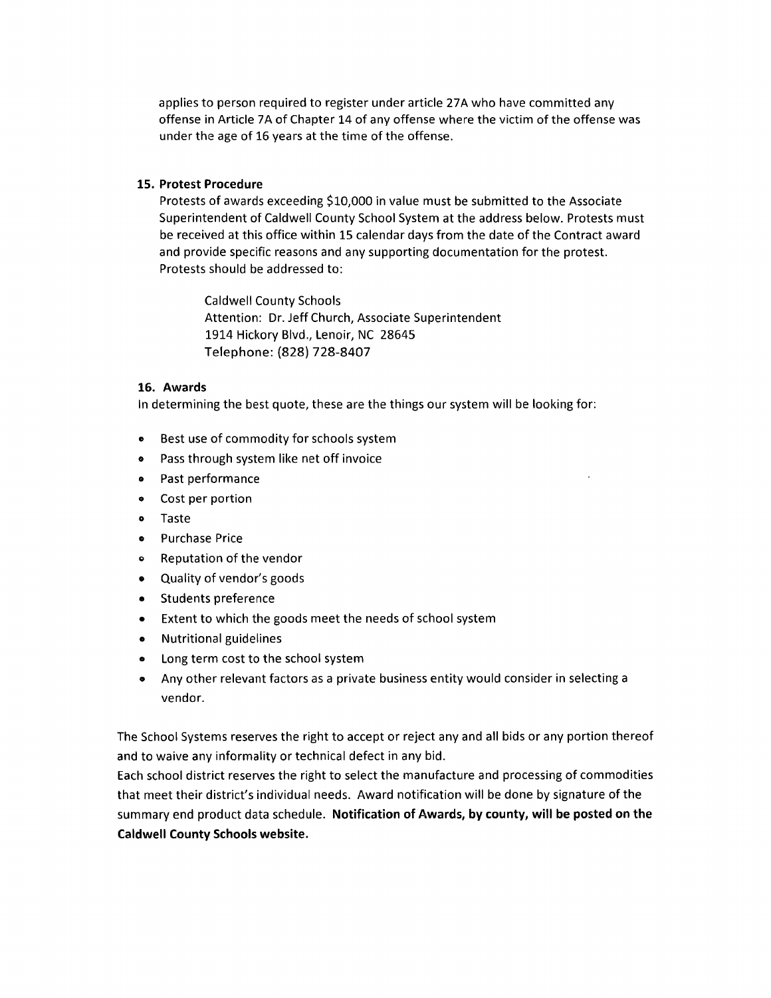applies to person required to register under article 27A who have committed any offense in Article 7A of Chapter 14 of any offense where the victim of the offense was under the age of 16 years at the time of the offense.

### 15. Protest Procedure

Protests of awards exceeding \$10,000 in value must be submitted to the Associate Superintendent of Caldwell County School System at the address below. Protests must be received at this office within 15 calendar days from the date of the Contract award and provide specific reasons and any supporting documentation for the protest. Protests should be addressed to:

**Caldwell County Schools** Attention: Dr. Jeff Church, Associate Superintendent 1914 Hickory Blvd., Lenoir, NC 28645 Telephone: (828) 728-8407

### 16. Awards

In determining the best quote, these are the things our system will be looking for:

- Best use of commodity for schools system  $\bullet$
- Pass through system like net off invoice  $\bullet$
- Past performance  $\bullet$
- Cost per portion  $\bullet$
- $\bullet$ Taste
- $\bullet$ **Purchase Price**
- Reputation of the vendor  $\bullet$
- Quality of vendor's goods  $\bullet$
- **Students preference**  $\bullet$
- Extent to which the goods meet the needs of school system  $\bullet$
- **Nutritional guidelines**  $\bullet$
- Long term cost to the school system  $\bullet$
- Any other relevant factors as a private business entity would consider in selecting a  $\bullet$ vendor.

The School Systems reserves the right to accept or reject any and all bids or any portion thereof and to waive any informality or technical defect in any bid.

Each school district reserves the right to select the manufacture and processing of commodities that meet their district's individual needs. Award notification will be done by signature of the summary end product data schedule. Notification of Awards, by county, will be posted on the **Caldwell County Schools website.**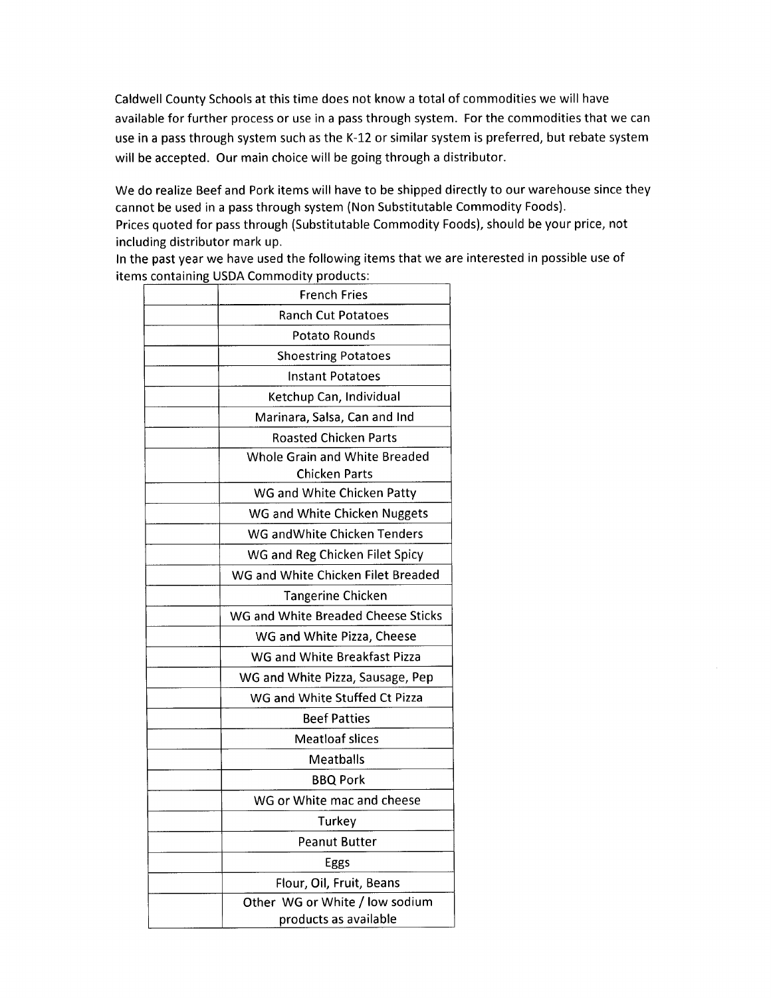Caldwell County Schools at this time does not know a total of commodities we will have available for further process or use in a pass through system. For the commodities that we can use in a pass through system such as the K-12 or similar system is preferred, but rebate system will be accepted. Our main choice will be going through a distributor.

We do realize Beef and Pork items will have to be shipped directly to our warehouse since they cannot be used in a pass through system (Non Substitutable Commodity Foods).

Prices quoted for pass through (Substitutable Commodity Foods), should be your price, not including distributor mark up.

In the past year we have used the following items that we are interested in possible use of items containing USDA Commodity products:

| <b>French Fries</b>                |  |  |  |  |  |  |  |
|------------------------------------|--|--|--|--|--|--|--|
| <b>Ranch Cut Potatoes</b>          |  |  |  |  |  |  |  |
| Potato Rounds                      |  |  |  |  |  |  |  |
| <b>Shoestring Potatoes</b>         |  |  |  |  |  |  |  |
| <b>Instant Potatoes</b>            |  |  |  |  |  |  |  |
| Ketchup Can, Individual            |  |  |  |  |  |  |  |
| Marinara, Salsa, Can and Ind       |  |  |  |  |  |  |  |
| Roasted Chicken Parts              |  |  |  |  |  |  |  |
| Whole Grain and White Breaded      |  |  |  |  |  |  |  |
| <b>Chicken Parts</b>               |  |  |  |  |  |  |  |
| WG and White Chicken Patty         |  |  |  |  |  |  |  |
| WG and White Chicken Nuggets       |  |  |  |  |  |  |  |
| WG and White Chicken Tenders       |  |  |  |  |  |  |  |
| WG and Reg Chicken Filet Spicy     |  |  |  |  |  |  |  |
| WG and White Chicken Filet Breaded |  |  |  |  |  |  |  |
| <b>Tangerine Chicken</b>           |  |  |  |  |  |  |  |
| WG and White Breaded Cheese Sticks |  |  |  |  |  |  |  |
| WG and White Pizza, Cheese         |  |  |  |  |  |  |  |
| WG and White Breakfast Pizza       |  |  |  |  |  |  |  |
| WG and White Pizza, Sausage, Pep   |  |  |  |  |  |  |  |
| WG and White Stuffed Ct Pizza      |  |  |  |  |  |  |  |
| <b>Beef Patties</b>                |  |  |  |  |  |  |  |
| <b>Meatloaf slices</b>             |  |  |  |  |  |  |  |
| Meatballs                          |  |  |  |  |  |  |  |
| <b>BBQ Pork</b>                    |  |  |  |  |  |  |  |
| WG or White mac and cheese         |  |  |  |  |  |  |  |
| Turkey                             |  |  |  |  |  |  |  |
| <b>Peanut Butter</b>               |  |  |  |  |  |  |  |
| Eggs                               |  |  |  |  |  |  |  |
| Flour, Oil, Fruit, Beans           |  |  |  |  |  |  |  |
| Other WG or White / low sodium     |  |  |  |  |  |  |  |
| products as available              |  |  |  |  |  |  |  |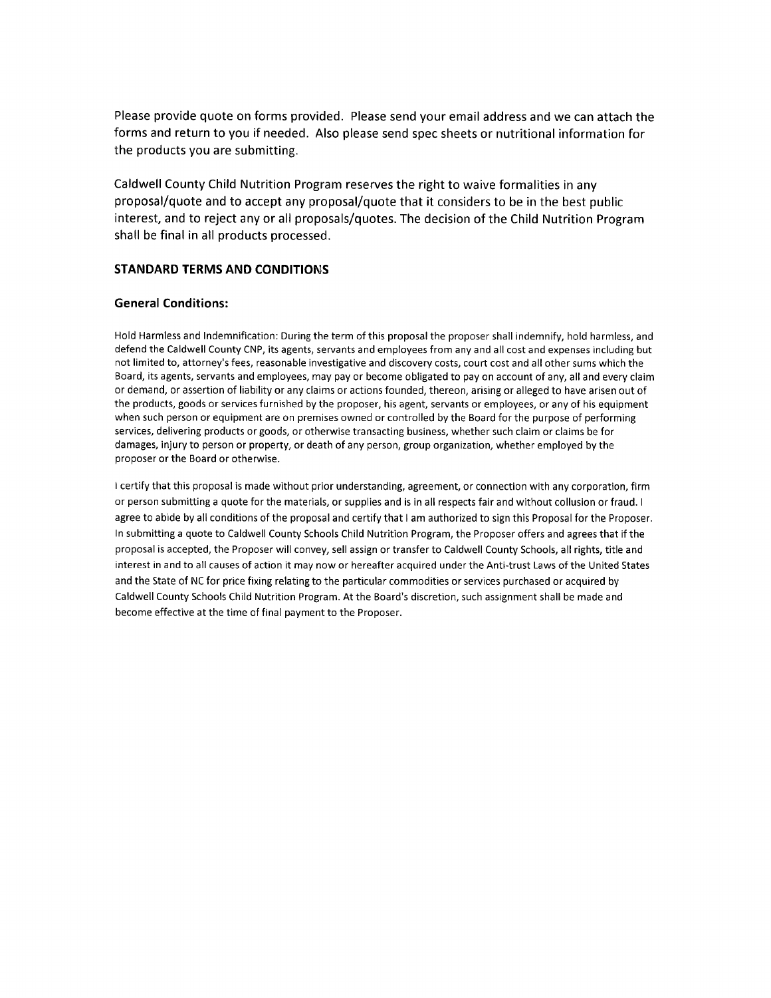Please provide quote on forms provided. Please send your email address and we can attach the forms and return to you if needed. Also please send spec sheets or nutritional information for the products you are submitting.

Caldwell County Child Nutrition Program reserves the right to waive formalities in any proposal/quote and to accept any proposal/quote that it considers to be in the best public interest, and to reject any or all proposals/quotes. The decision of the Child Nutrition Program shall be final in all products processed.

### **STANDARD TERMS AND CONDITIONS**

### **General Conditions:**

Hold Harmless and Indemnification: During the term of this proposal the proposer shall indemnify, hold harmless, and defend the Caldwell County CNP, its agents, servants and employees from any and all cost and expenses including but not limited to, attorney's fees, reasonable investigative and discovery costs, court cost and all other sums which the Board, its agents, servants and employees, may pay or become obligated to pay on account of any, all and every claim or demand, or assertion of liability or any claims or actions founded, thereon, arising or alleged to have arisen out of the products, goods or services furnished by the proposer, his agent, servants or employees, or any of his equipment when such person or equipment are on premises owned or controlled by the Board for the purpose of performing services, delivering products or goods, or otherwise transacting business, whether such claim or claims be for damages, injury to person or property, or death of any person, group organization, whether employed by the proposer or the Board or otherwise.

I certify that this proposal is made without prior understanding, agreement, or connection with any corporation, firm or person submitting a quote for the materials, or supplies and is in all respects fair and without collusion or fraud. I agree to abide by all conditions of the proposal and certify that I am authorized to sign this Proposal for the Proposer. In submitting a quote to Caldwell County Schools Child Nutrition Program, the Proposer offers and agrees that if the proposal is accepted, the Proposer will convey, sell assign or transfer to Caldwell County Schools, all rights, title and interest in and to all causes of action it may now or hereafter acquired under the Anti-trust Laws of the United States and the State of NC for price fixing relating to the particular commodities or services purchased or acquired by Caldwell County Schools Child Nutrition Program. At the Board's discretion, such assignment shall be made and become effective at the time of final payment to the Proposer.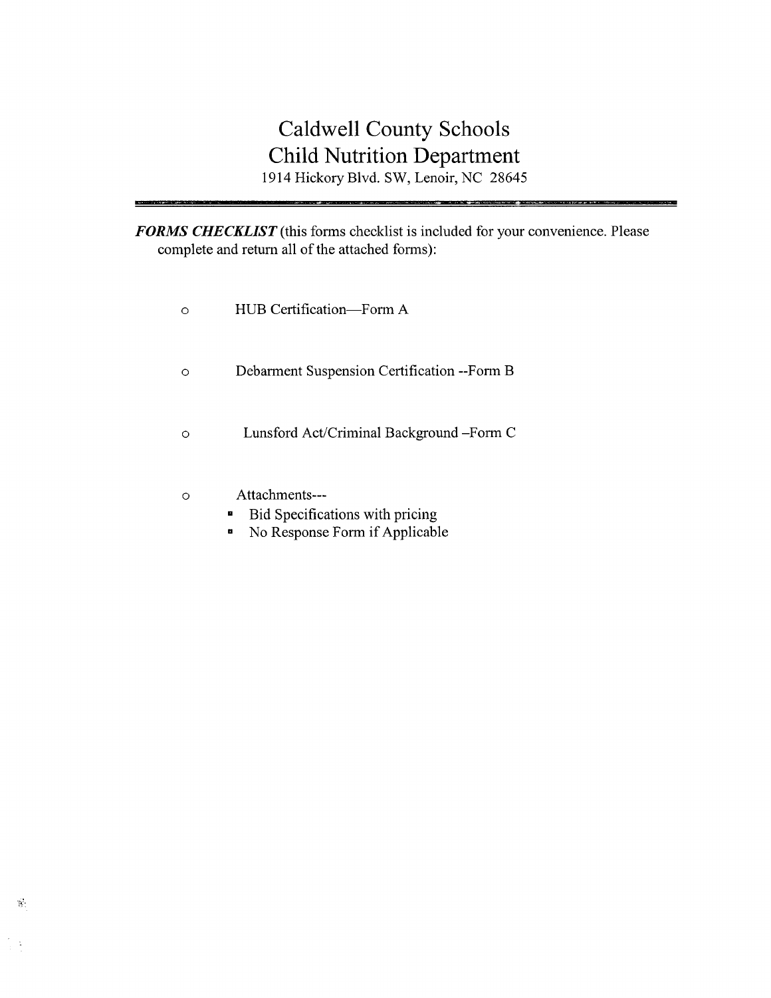# Caldwell County Schools **Child Nutrition Department** 1914 Hickory Blvd. SW, Lenoir, NC 28645

FORMS CHECKLIST (this forms checklist is included for your convenience. Please complete and return all of the attached forms):

| ∩        | HUB Certification-Form A                          |
|----------|---------------------------------------------------|
| $\Omega$ | Debarment Suspension Certification --Form B       |
| ∩        | Lunsford Act/Criminal Background -Form C          |
| ∩        | Attachments---<br>Bid Specifications with pricing |

• No Response Form if Applicable

 $\mathcal{H}$ 

 $\epsilon$  $\bar{\alpha}$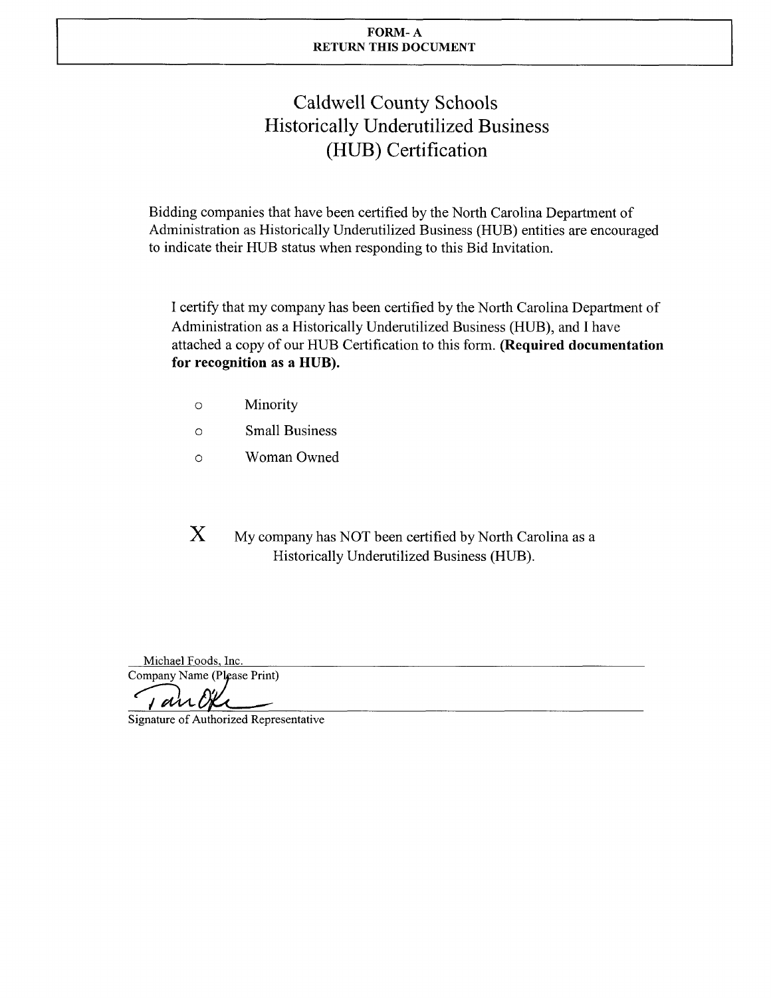### FORM-A **RETURN THIS DOCUMENT**

# **Caldwell County Schools Historically Underutilized Business** (HUB) Certification

Bidding companies that have been certified by the North Carolina Department of Administration as Historically Underutilized Business (HUB) entities are encouraged to indicate their HUB status when responding to this Bid Invitation.

I certify that my company has been certified by the North Carolina Department of Administration as a Historically Underutilized Business (HUB), and I have attached a copy of our HUB Certification to this form. (Required documentation for recognition as a HUB).

- Minority  $\circ$
- **Small Business**  $\circ$
- Woman Owned  $\circ$

X My company has NOT been certified by North Carolina as a Historically Underutilized Business (HUB).

Michael Foods, Inc. Company Name (Please Print)

a

Signature of Authorized Representative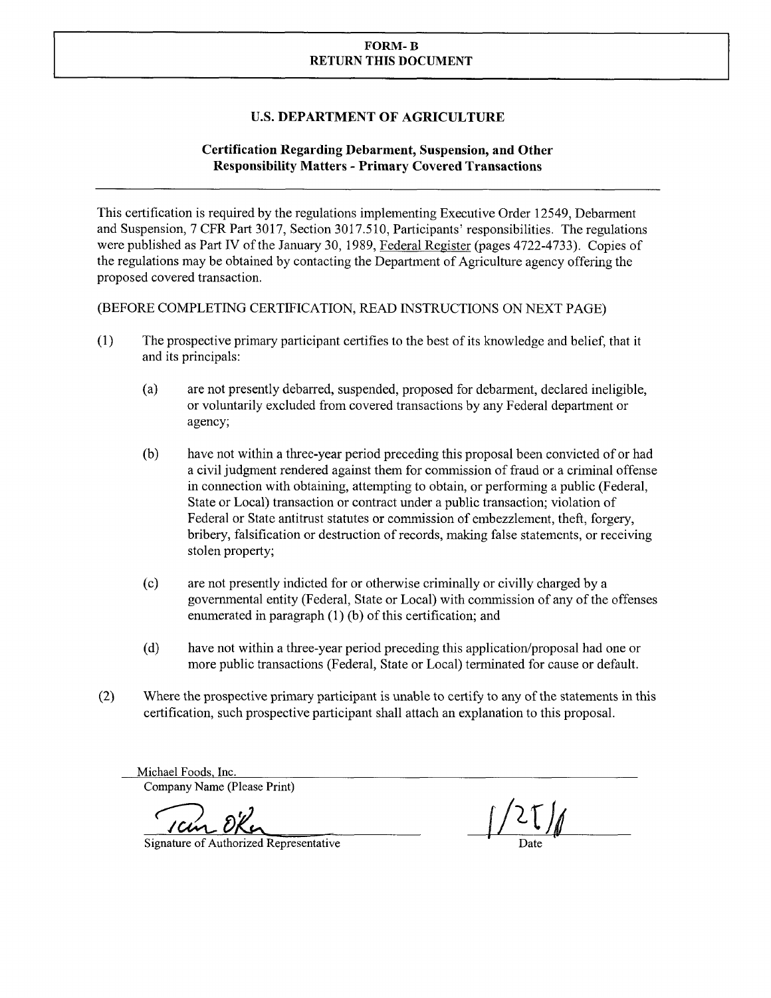### **FORM-B RETURN THIS DOCUMENT**

## **U.S. DEPARTMENT OF AGRICULTURE**

# **Certification Regarding Debarment, Suspension, and Other Responsibility Matters - Primary Covered Transactions**

This certification is required by the regulations implementing Executive Order 12549, Debarment and Suspension, 7 CFR Part 3017, Section 3017.510, Participants' responsibilities. The regulations were published as Part IV of the January 30, 1989, Federal Register (pages 4722-4733). Copies of the regulations may be obtained by contacting the Department of Agriculture agency offering the proposed covered transaction.

(BEFORE COMPLETING CERTIFICATION, READ INSTRUCTIONS ON NEXT PAGE)

- $(1)$ The prospective primary participant certifies to the best of its knowledge and belief, that it and its principals:
	- $(a)$ are not presently debarred, suspended, proposed for debarment, declared ineligible, or voluntarily excluded from covered transactions by any Federal department or agency;
	- $(b)$ have not within a three-year period preceding this proposal been convicted of or had a civil judgment rendered against them for commission of fraud or a criminal offense in connection with obtaining, attempting to obtain, or performing a public (Federal, State or Local) transaction or contract under a public transaction; violation of Federal or State antitrust statutes or commission of embezzlement, theft, forgery, bribery, falsification or destruction of records, making false statements, or receiving stolen property;
	- $(c)$ are not presently indicted for or otherwise criminally or civilly charged by a governmental entity (Federal, State or Local) with commission of any of the offenses enumerated in paragraph (1) (b) of this certification; and
	- $(d)$ have not within a three-year period preceding this application/proposal had one or more public transactions (Federal, State or Local) terminated for cause or default.
- $(2)$ Where the prospective primary participant is unable to certify to any of the statements in this certification, such prospective participant shall attach an explanation to this proposal.

Michael Foods, Inc. Company Name (Please Print)

Signature of Authorized Representative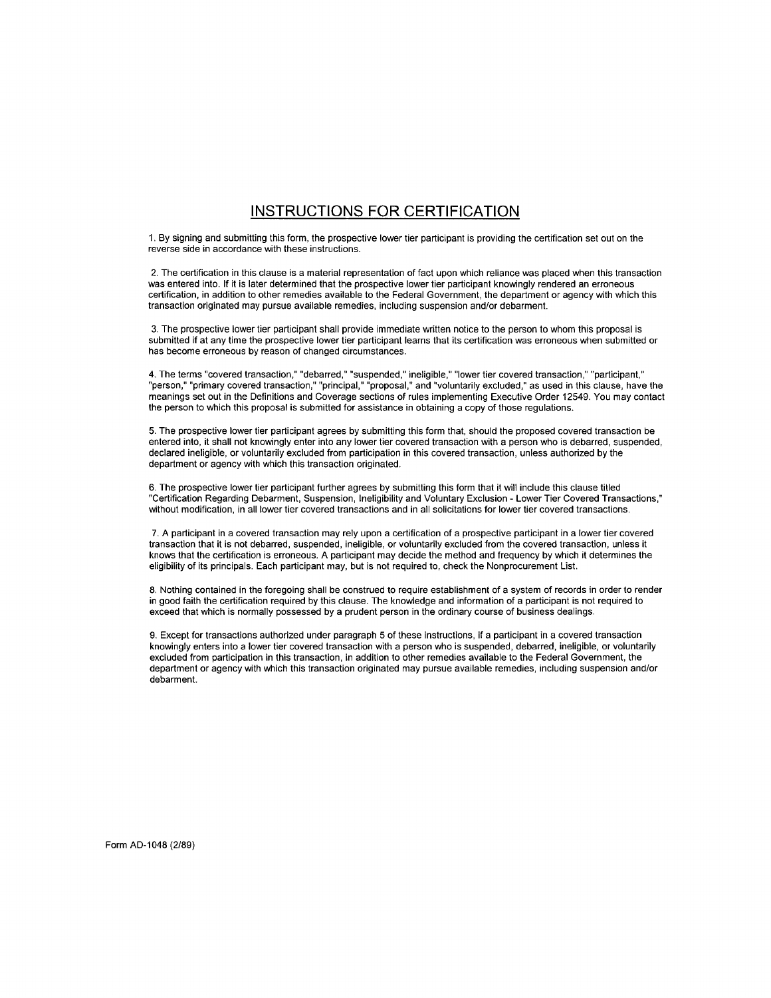# **INSTRUCTIONS FOR CERTIFICATION**

1. By signing and submitting this form, the prospective lower tier participant is providing the certification set out on the reverse side in accordance with these instructions.

2. The certification in this clause is a material representation of fact upon which reliance was placed when this transaction was entered into. If it is later determined that the prospective lower tier participant knowingly rendered an erroneous certification, in addition to other remedies available to the Federal Government, the department or agency with which this transaction originated may pursue available remedies, including suspension and/or debarment.

3. The prospective lower tier participant shall provide immediate written notice to the person to whom this proposal is submitted if at any time the prospective lower tier participant learns that its certification was erroneous when submitted or has become erroneous by reason of changed circumstances.

4. The terms "covered transaction," "debarred," "suspended," ineligible," "lower tier covered transaction," "participant,"<br>"person," "primary covered transaction," "principal," "proposal," and "voluntarily excluded," as us the person to which this proposal is submitted for assistance in obtaining a copy of those regulations.

5. The prospective lower tier participant agrees by submitting this form that, should the proposed covered transaction be entered into, it shall not knowingly enter into any lower tier covered transaction with a person who is debarred, suspended, declared ineligible, or voluntarily excluded from participation in this covered transaction, unless authorized by the department or agency with which this transaction originated.

6. The prospective lower tier participant further agrees by submitting this form that it will include this clause titled "Certification Regarding Debarment, Suspension, Ineligibility and Voluntary Exclusion - Lower Tier Covered Transactions," without modification, in all lower tier covered transactions and in all solicitations for lower tier covered transactions.

7. A participant in a covered transaction may rely upon a certification of a prospective participant in a lower tier covered transaction that it is not debarred, suspended, ineligible, or voluntarily excluded from the covered transaction, unless it knows that the certification is erroneous. A participant may decide the method and frequency by which it determines the eligibility of its principals. Each participant may, but is not required to, check the Nonprocurement List.

8. Nothing contained in the foregoing shall be construed to require establishment of a system of records in order to render in good faith the certification required by this clause. The knowledge and information of a participant is not required to exceed that which is normally possessed by a prudent person in the ordinary course of business dealings.

9. Except for transactions authorized under paragraph 5 of these instructions, if a participant in a covered transaction knowingly enters into a lower tier covered transaction with a person who is suspended, debarred, ineligible, or voluntarily excluded from participation in this transaction, in addition to other remedies available to the Federal Government, the department or agency with which this transaction originated may pursue available remedies, including suspension and/or debarment.

Form AD-1048 (2/89)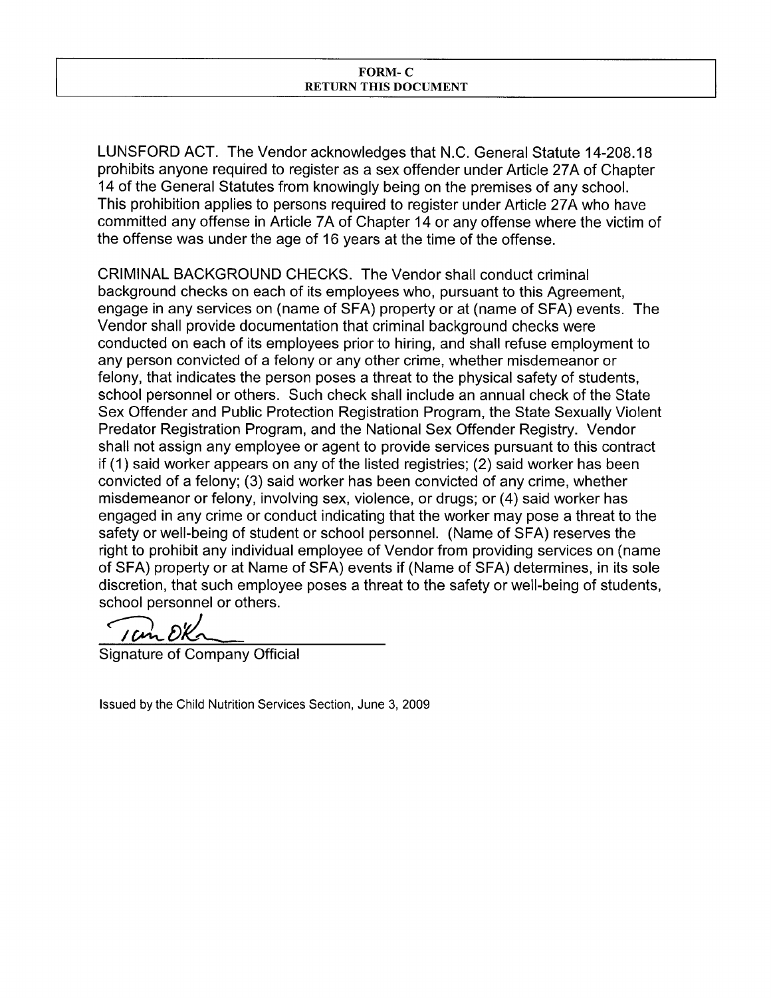LUNSFORD ACT. The Vendor acknowledges that N.C. General Statute 14-208.18 prohibits anyone required to register as a sex offender under Article 27A of Chapter 14 of the General Statutes from knowingly being on the premises of any school. This prohibition applies to persons required to register under Article 27A who have committed any offense in Article 7A of Chapter 14 or any offense where the victim of the offense was under the age of 16 years at the time of the offense.

CRIMINAL BACKGROUND CHECKS. The Vendor shall conduct criminal background checks on each of its employees who, pursuant to this Agreement, engage in any services on (name of SFA) property or at (name of SFA) events. The Vendor shall provide documentation that criminal background checks were conducted on each of its employees prior to hiring, and shall refuse employment to any person convicted of a felony or any other crime, whether misdemeanor or felony, that indicates the person poses a threat to the physical safety of students, school personnel or others. Such check shall include an annual check of the State Sex Offender and Public Protection Registration Program, the State Sexually Violent Predator Registration Program, and the National Sex Offender Registry. Vendor shall not assign any employee or agent to provide services pursuant to this contract if (1) said worker appears on any of the listed registries; (2) said worker has been convicted of a felony; (3) said worker has been convicted of any crime, whether misdemeanor or felony, involving sex, violence, or drugs; or (4) said worker has engaged in any crime or conduct indicating that the worker may pose a threat to the safety or well-being of student or school personnel. (Name of SFA) reserves the right to prohibit any individual employee of Vendor from providing services on (name of SFA) property or at Name of SFA) events if (Name of SFA) determines, in its sole discretion, that such employee poses a threat to the safety or well-being of students, school personnel or others.

Signature of Company Official

Issued by the Child Nutrition Services Section, June 3, 2009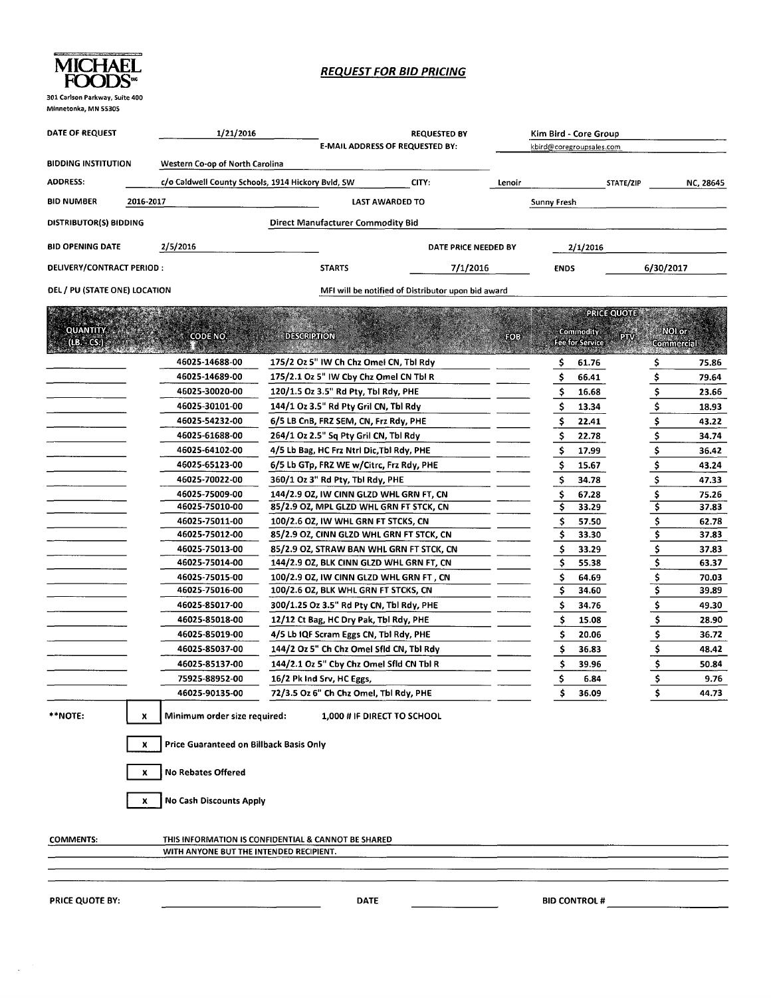

### **REQUEST FOR BID PRICING**

| Minnetonka, MN 55305          |           |                                                    |                                           |                                                    |        |                          |                        |                    |              |
|-------------------------------|-----------|----------------------------------------------------|-------------------------------------------|----------------------------------------------------|--------|--------------------------|------------------------|--------------------|--------------|
| <b>DATE OF REQUEST</b>        |           | 1/21/2016                                          |                                           | <b>REQUESTED BY</b>                                |        | Kim Bird - Core Group    |                        |                    |              |
|                               |           |                                                    |                                           | E-MAIL ADDRESS OF REQUESTED BY:                    |        | kbird@coregroupsales.com |                        |                    |              |
| <b>BIDDING INSTITUTION</b>    |           | Western Co-op of North Carolina                    |                                           |                                                    |        |                          |                        |                    |              |
|                               |           |                                                    |                                           |                                                    |        |                          |                        |                    |              |
| <b>ADDRESS:</b>               |           | c/o Caldwell County Schools, 1914 Hickory Bvld, SW |                                           | CITY:                                              | Lenoir |                          |                        | STATE/ZIP          | NC, 28645    |
| <b>BID NUMBER</b>             | 2016-2017 |                                                    |                                           | LAST AWARDED TO                                    |        | <b>Sunny Fresh</b>       |                        |                    |              |
| <b>DISTRIBUTOR(S) BIDDING</b> |           |                                                    | <b>Direct Manufacturer Commodity Bid</b>  |                                                    |        |                          |                        |                    |              |
| <b>BID OPENING DATE</b>       |           | 2/5/2016                                           |                                           | DATE PRICE NEEDED BY                               |        |                          | 2/1/2016               |                    |              |
| DELIVERY/CONTRACT PERIOD:     |           |                                                    | <b>STARTS</b>                             | 7/1/2016                                           |        | <b>ENDS</b>              |                        | 6/30/2017          |              |
| DEL / PU (STATE ONE) LOCATION |           |                                                    |                                           | MFI will be notified of Distributor upon bid award |        |                          |                        |                    |              |
|                               |           |                                                    |                                           |                                                    |        |                          |                        | <b>PRICE QUOTE</b> |              |
| <b>QUANTITY</b>               |           |                                                    |                                           |                                                    |        |                          | Commodity              | <b>DIM</b>         | <b>NOLOF</b> |
| (B, SCS)                      |           | <b>CODE NO.</b>                                    | <b>DESCRIPTION</b>                        |                                                    | HOB    |                          | <b>Fee for Service</b> |                    | Commercial   |
|                               |           | 46025-14688-00                                     | 175/2 Oz 5" IW Ch Chz Omel CN, Tbl Rdy    |                                                    |        | Ş                        | 61.76                  | Ş                  | 75.86        |
|                               |           | 46025-14689-00                                     | 175/2.1 Oz 5" IW Cby Chz Omel CN Tbl R    |                                                    |        | \$                       | 66.41                  | \$                 | 79.64        |
|                               |           | 46025-30020-00                                     | 120/1.5 Oz 3.5" Rd Pty, Tbl Rdy, PHE      |                                                    |        | Ş                        | 16.68                  | \$                 | 23.66        |
|                               |           | 46025-30101-00                                     | 144/1 Oz 3.5" Rd Pty Gril CN, Tbl Rdy     |                                                    |        | \$                       | 13.34                  | \$                 | 18.93        |
|                               |           | 46025-54232-00                                     | 6/5 LB CnB, FRZ SEM, CN, Frz Rdy, PHE     |                                                    |        | Ş                        | 22.41                  | \$                 | 43.22        |
|                               |           | 46025-61688-00                                     | 264/1 Oz 2.5" Sq Pty Gril CN, Tbl Rdy     |                                                    |        | \$                       | 22.78                  | \$                 | 34.74        |
|                               |           | 46025-64102-00                                     | 4/5 Lb Bag, HC Frz Ntrl Dic, Tbl Rdy, PHE |                                                    |        | \$                       | 17.99                  | \$                 | 36.42        |
|                               |           | 46025-65123-00                                     | 6/5 Lb GTp, FRZ WE w/Citrc, Frz Rdy, PHE  |                                                    |        | \$                       | 15.67                  | \$                 | 43.24        |
|                               |           | 46025-70022-00                                     | 360/1 Oz 3" Rd Pty, Tbl Rdy, PHE          |                                                    |        | \$                       | 34.78                  | \$                 | 47.33        |
|                               |           | 46025-75009-00                                     | 144/2.9 OZ, IW CINN GLZD WHL GRN FT, CN   |                                                    |        | \$                       | 67.28                  | \$                 | 75.26        |
|                               |           | 46025-75010-00                                     | 85/2.9 OZ, MPL GLZD WHL GRN FT STCK, CN   |                                                    |        | \$                       | 33.29                  | \$                 | 37.83        |
|                               |           | 46025-75011-00                                     | 100/2.6 OZ, IW WHL GRN FT STCKS, CN       |                                                    |        | \$                       | 57.50                  | \$                 | 62.78        |
|                               |           | 46025-75012-00                                     | 85/2.9 OZ, CINN GLZD WHL GRN FT STCK, CN  |                                                    |        | \$                       | 33.30                  | \$                 | 37.83        |
|                               |           | 46025-75013-00                                     | 85/2.9 OZ, STRAW BAN WHL GRN FT STCK, CN  |                                                    |        | \$                       | 33.29                  | \$                 | 37.83        |
|                               |           | 46025-75014-00                                     | 144/2.9 OZ, BLK CINN GLZD WHL GRN FT, CN  |                                                    |        | \$                       | 55.38                  | \$                 | 63.37        |
|                               |           | 46025-75015-00                                     | 100/2.9 OZ, IW CINN GLZD WHL GRN FT, CN   |                                                    |        | \$                       | 64.69                  | \$                 | 70.03        |
|                               |           | 46025-75016-00                                     | 100/2.6 OZ, BLK WHL GRN FT STCKS, CN      |                                                    |        | \$                       | 34.60                  | \$                 | 39.89        |
|                               |           | 46025-85017-00                                     | 300/1.25 Oz 3.5" Rd Pty CN, Tbl Rdy, PHE  |                                                    |        | \$                       | 34.76                  | \$                 | 49.30        |
|                               |           | 46025-85018-00                                     | 12/12 Ct Bag, HC Dry Pak, Tbl Rdy, PHE    |                                                    |        | \$                       | 15.08                  | \$                 | 28.90        |
|                               |           | 46025-85019-00                                     | 4/5 Lb IQF Scram Eggs CN, Tbl Rdy, PHE    |                                                    |        | \$                       | 20.06                  | \$                 | 36.72        |
|                               |           | 46025-85037-00                                     | 144/2 Oz 5" Ch Chz Omel Sfld CN, Tbl Rdy  |                                                    |        | \$                       | 36.83                  | \$                 | 48.42        |
|                               |           | 46025-85137-00                                     | 144/2.1 Oz 5" Cby Chz Omel Sfld CN Tbl R  |                                                    |        | \$                       | 39.96                  | Ś                  | 50.84        |
|                               |           | 75925-88952-00                                     | 16/2 Pk Ind Srv, HC Eggs,                 |                                                    |        | \$                       | 6.84                   | Ş                  | 9.76         |
|                               |           | 46025-90135-00                                     | 72/3.5 Oz 6" Ch Chz Omel, Tbl Rdy, PHE    |                                                    |        | Ş                        | 36.09                  | Ş                  | 44.73        |
|                               |           |                                                    |                                           |                                                    |        |                          |                        |                    |              |
| **NOTE:                       | x         | Minimum order size required:                       |                                           | 1,000 # IF DIRECT TO SCHOOL                        |        |                          |                        |                    |              |
|                               | x         | Price Guaranteed on Billback Basis Only            |                                           |                                                    |        |                          |                        |                    |              |
|                               |           |                                                    |                                           |                                                    |        |                          |                        |                    |              |
|                               | x         | <b>No Rebates Offered</b>                          |                                           |                                                    |        |                          |                        |                    |              |
|                               | x         | <b>No Cash Discounts Apply</b>                     |                                           |                                                    |        |                          |                        |                    |              |

COMMENTS:

THIS INFORMATION IS CONFIDENTIAL & CANNOT BE SHARED

WITH ANYONE BUT THE INTENDED RECIPIENT.

PRICE QUOTE BY:

 $\sim$ 

 $\overline{a}$ 

**BID CONTROL #**